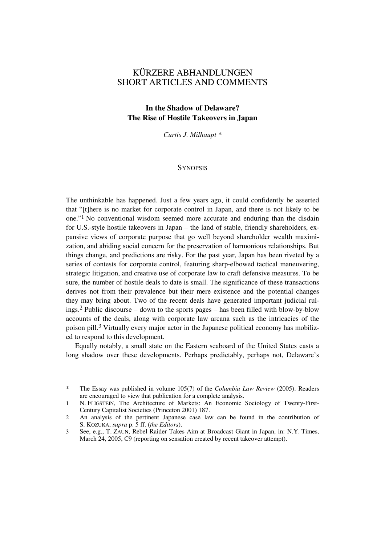# KÜRZERE ABHANDLUNGEN SHORT ARTICLES AND COMMENTS

## **In the Shadow of Delaware? The Rise of Hostile Takeovers in Japan**

*Curtis J. Milhaupt \** 

### **SYNOPSIS**

The unthinkable has happened. Just a few years ago, it could confidently be asserted that "[t]here is no market for corporate control in Japan, and there is not likely to be one."1 No conventional wisdom seemed more accurate and enduring than the disdain for U.S.-style hostile takeovers in Japan – the land of stable, friendly shareholders, expansive views of corporate purpose that go well beyond shareholder wealth maximization, and abiding social concern for the preservation of harmonious relationships. But things change, and predictions are risky. For the past year, Japan has been riveted by a series of contests for corporate control, featuring sharp-elbowed tactical maneuvering, strategic litigation, and creative use of corporate law to craft defensive measures. To be sure, the number of hostile deals to date is small. The significance of these transactions derives not from their prevalence but their mere existence and the potential changes they may bring about. Two of the recent deals have generated important judicial rulings.2 Public discourse – down to the sports pages – has been filled with blow-by-blow accounts of the deals, along with corporate law arcana such as the intricacies of the poison pill.<sup>3</sup> Virtually every major actor in the Japanese political economy has mobilized to respond to this development.

Equally notably, a small state on the Eastern seaboard of the United States casts a long shadow over these developments. Perhaps predictably, perhaps not, Delaware's

l

<sup>\*</sup> The Essay was published in volume 105(7) of the *Columbia Law Review* (2005). Readers are encouraged to view that publication for a complete analysis.

<sup>1</sup> N. FLIGSTEIN, The Architecture of Markets: An Economic Sociology of Twenty-First-Century Capitalist Societies (Princeton 2001) 187.

<sup>2</sup> An analysis of the pertinent Japanese case law can be found in the contribution of S. KOZUKA; *supra* p. 5 ff. (*the Editors*).

<sup>3</sup> See, e.g., T. ZAUN, Rebel Raider Takes Aim at Broadcast Giant in Japan, in: N.Y. Times, March 24, 2005, C9 (reporting on sensation created by recent takeover attempt).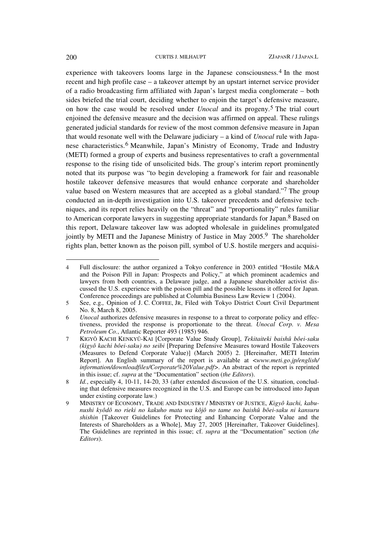experience with takeovers looms large in the Japanese consciousness.4 In the most recent and high profile case – a takeover attempt by an upstart internet service provider of a radio broadcasting firm affiliated with Japan's largest media conglomerate – both sides briefed the trial court, deciding whether to enjoin the target's defensive measure, on how the case would be resolved under *Unocal* and its progeny.5 The trial court enjoined the defensive measure and the decision was affirmed on appeal. These rulings generated judicial standards for review of the most common defensive measure in Japan that would resonate well with the Delaware judiciary – a kind of *Unocal* rule with Japanese characteristics.6 Meanwhile, Japan's Ministry of Economy, Trade and Industry (METI) formed a group of experts and business representatives to craft a governmental response to the rising tide of unsolicited bids. The group's interim report prominently noted that its purpose was "to begin developing a framework for fair and reasonable hostile takeover defensive measures that would enhance corporate and shareholder value based on Western measures that are accepted as a global standard."7 The group conducted an in-depth investigation into U.S. takeover precedents and defensive techniques, and its report relies heavily on the "threat" and "proportionality" rules familiar to American corporate lawyers in suggesting appropriate standards for Japan.<sup>8</sup> Based on this report, Delaware takeover law was adopted wholesale in guidelines promulgated jointly by METI and the Japanese Ministry of Justice in May 2005.9 The shareholder rights plan, better known as the poison pill, symbol of U.S. hostile mergers and acquisi-

l

<sup>4</sup> Full disclosure: the author organized a Tokyo conference in 2003 entitled "Hostile M&A and the Poison Pill in Japan: Prospects and Policy," at which prominent academics and lawyers from both countries, a Delaware judge, and a Japanese shareholder activist discussed the U.S. experience with the poison pill and the possible lessons it offered for Japan. Conference proceedings are published at Columbia Business Law Review 1 (2004).

<sup>5</sup> See, e.g.*,* Opinion of J. C. COFFEE, JR, Filed with Tokyo District Court Civil Department No. 8, March 8, 2005.

<sup>6</sup> *Unocal* authorizes defensive measures in response to a threat to corporate policy and effectiveness, provided the response is proportionate to the threat. *Unocal Corp. v. Mesa Petroleum Co.*, Atlantic Reporter 493 (1985) 946.

<sup>7</sup> KIGYÔ KACHI KENKYÛ-KAI [Corporate Value Study Group], *Tekitaiteki baishû bôei-saku (kigyô kachi bôei-saku) no seibi* [Preparing Defensive Measures toward Hostile Takeovers (Measures to Defend Corporate Value)] (March 2005) 2. [Hereinafter, METI Interim Report]. An English summary of the report is available at <*www.meti.go.jp/english/ information/downloadfiles/Corporate%20Value.pdf>.* An abstract of the report is reprinted in this issue; cf. *supra* at the "Documentation" section (*the Editors*).

<sup>8</sup> *Id.*, especially 4, 10-11, 14-20, 33 (after extended discussion of the U.S. situation, concluding that defensive measures recognized in the U.S. and Europe can be introduced into Japan under existing corporate law.)

<sup>9</sup> MINISTRY OF ECONOMY, TRADE AND INDUSTRY / MINISTRY OF JUSTICE, *Kigyô kachi, kabunushi kyôdô no rieki no kakuho mata wa kôjô no tame no baishû bôei-saku ni kansuru shishin* [Takeover Guidelines for Protecting and Enhancing Corporate Value and the Interests of Shareholders as a Whole], May 27, 2005 [Hereinafter, Takeover Guidelines]. The Guidelines are reprinted in this issue; cf. *supra* at the "Documentation" section (*the Editors*).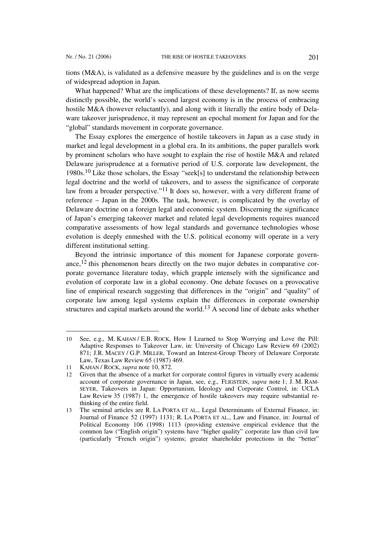tions (M&A), is validated as a defensive measure by the guidelines and is on the verge of widespread adoption in Japan.

What happened? What are the implications of these developments? If, as now seems distinctly possible, the world's second largest economy is in the process of embracing hostile M&A (however reluctantly), and along with it literally the entire body of Delaware takeover jurisprudence, it may represent an epochal moment for Japan and for the "global" standards movement in corporate governance.

The Essay explores the emergence of hostile takeovers in Japan as a case study in market and legal development in a global era. In its ambitions, the paper parallels work by prominent scholars who have sought to explain the rise of hostile M&A and related Delaware jurisprudence at a formative period of U.S. corporate law development, the 1980s.10 Like those scholars, the Essay "seek[s] to understand the relationship between legal doctrine and the world of takeovers, and to assess the significance of corporate law from a broader perspective."<sup>11</sup> It does so, however, with a very different frame of reference – Japan in the 2000s. The task, however, is complicated by the overlay of Delaware doctrine on a foreign legal and economic system. Discerning the significance of Japan's emerging takeover market and related legal developments requires nuanced comparative assessments of how legal standards and governance technologies whose evolution is deeply enmeshed with the U.S. political economy will operate in a very different institutional setting.

Beyond the intrinsic importance of this moment for Japanese corporate governance,12 this phenomenon bears directly on the two major debates in comparative corporate governance literature today, which grapple intensely with the significance and evolution of corporate law in a global economy. One debate focuses on a provocative line of empirical research suggesting that differences in the "origin" and "quality" of corporate law among legal systems explain the differences in corporate ownership structures and capital markets around the world.13 A second line of debate asks whether

 $\overline{a}$ 

<sup>10</sup> See, e.g.*,* M. KAHAN / E.B. ROCK, How I Learned to Stop Worrying and Love the Pill: Adaptive Responses to Takeover Law, in: University of Chicago Law Review 69 (2002) 871; J.R. MACEY / G.P. MILLER, Toward an Interest-Group Theory of Delaware Corporate Law, Texas Law Review 65 (1987) 469.

<sup>11</sup> KAHAN / ROCK, *supra* note 10, 872.

Given that the absence of a market for corporate control figures in virtually every academic account of corporate governance in Japan, see, e.g.*,* FLIGSTEIN, *supra* note 1; J. M. RAM-SEYER, Takeovers in Japan: Opportunism, Ideology and Corporate Control, in: UCLA Law Review 35 (1987) 1, the emergence of hostile takeovers may require substantial rethinking of the entire field.

<sup>13</sup> The seminal articles are R. LA PORTA ET AL., Legal Determinants of External Finance, in: Journal of Finance 52 (1997) 1131; R. LA PORTA ET AL., Law and Finance, in: Journal of Political Economy 106 (1998) 1113 (providing extensive empirical evidence that the common law ("English origin") systems have "higher quality" corporate law than civil law (particularly "French origin") systems; greater shareholder protections in the "better"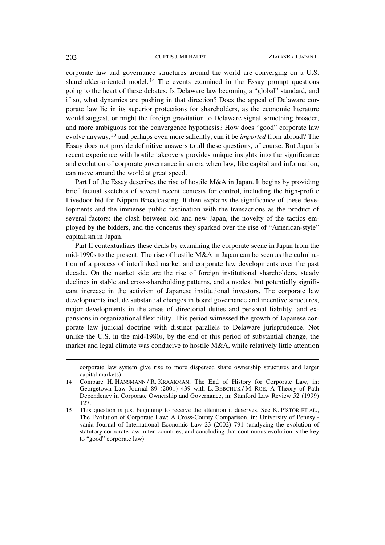corporate law and governance structures around the world are converging on a U.S. shareholder-oriented model. 14 The events examined in the Essay prompt questions going to the heart of these debates: Is Delaware law becoming a "global" standard, and if so, what dynamics are pushing in that direction? Does the appeal of Delaware corporate law lie in its superior protections for shareholders, as the economic literature would suggest, or might the foreign gravitation to Delaware signal something broader, and more ambiguous for the convergence hypothesis? How does "good" corporate law evolve anyway,15 and perhaps even more saliently, can it be *imported* from abroad? The Essay does not provide definitive answers to all these questions, of course. But Japan's recent experience with hostile takeovers provides unique insights into the significance and evolution of corporate governance in an era when law, like capital and information, can move around the world at great speed.

Part I of the Essay describes the rise of hostile M&A in Japan. It begins by providing brief factual sketches of several recent contests for control, including the high-profile Livedoor bid for Nippon Broadcasting. It then explains the significance of these developments and the immense public fascination with the transactions as the product of several factors: the clash between old and new Japan, the novelty of the tactics employed by the bidders, and the concerns they sparked over the rise of "American-style" capitalism in Japan.

Part II contextualizes these deals by examining the corporate scene in Japan from the mid-1990s to the present. The rise of hostile M&A in Japan can be seen as the culmination of a process of interlinked market and corporate law developments over the past decade. On the market side are the rise of foreign institutional shareholders, steady declines in stable and cross-shareholding patterns, and a modest but potentially significant increase in the activism of Japanese institutional investors. The corporate law developments include substantial changes in board governance and incentive structures, major developments in the areas of directorial duties and personal liability, and expansions in organizational flexibility. This period witnessed the growth of Japanese corporate law judicial doctrine with distinct parallels to Delaware jurisprudence. Not unlike the U.S. in the mid-1980s, by the end of this period of substantial change, the market and legal climate was conducive to hostile M&A, while relatively little attention

l

corporate law system give rise to more dispersed share ownership structures and larger capital markets).

<sup>14</sup> Compare H. HANSMANN / R. KRAAKMAN, The End of History for Corporate Law, in: Georgetown Law Journal 89 (2001) 439 with L. BEBCHUK / M. ROE, A Theory of Path Dependency in Corporate Ownership and Governance, in: Stanford Law Review 52 (1999) 127.

<sup>15</sup> This question is just beginning to receive the attention it deserves. See K. PISTOR ET AL., The Evolution of Corporate Law: A Cross-County Comparison, in: University of Pennsylvania Journal of International Economic Law 23 (2002) 791 (analyzing the evolution of statutory corporate law in ten countries, and concluding that continuous evolution is the key to "good" corporate law).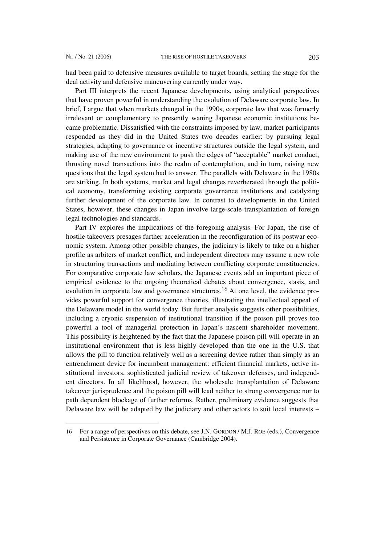l

had been paid to defensive measures available to target boards, setting the stage for the deal activity and defensive maneuvering currently under way.

Part III interprets the recent Japanese developments, using analytical perspectives that have proven powerful in understanding the evolution of Delaware corporate law. In brief, I argue that when markets changed in the 1990s, corporate law that was formerly irrelevant or complementary to presently waning Japanese economic institutions became problematic. Dissatisfied with the constraints imposed by law, market participants responded as they did in the United States two decades earlier: by pursuing legal strategies, adapting to governance or incentive structures outside the legal system, and making use of the new environment to push the edges of "acceptable" market conduct, thrusting novel transactions into the realm of contemplation, and in turn, raising new questions that the legal system had to answer. The parallels with Delaware in the 1980s are striking. In both systems, market and legal changes reverberated through the political economy, transforming existing corporate governance institutions and catalyzing further development of the corporate law. In contrast to developments in the United States, however, these changes in Japan involve large-scale transplantation of foreign legal technologies and standards.

Part IV explores the implications of the foregoing analysis. For Japan, the rise of hostile takeovers presages further acceleration in the reconfiguration of its postwar economic system. Among other possible changes, the judiciary is likely to take on a higher profile as arbiters of market conflict, and independent directors may assume a new role in structuring transactions and mediating between conflicting corporate constituencies. For comparative corporate law scholars, the Japanese events add an important piece of empirical evidence to the ongoing theoretical debates about convergence, stasis, and evolution in corporate law and governance structures.<sup>16</sup> At one level, the evidence provides powerful support for convergence theories, illustrating the intellectual appeal of the Delaware model in the world today. But further analysis suggests other possibilities, including a cryonic suspension of institutional transition if the poison pill proves too powerful a tool of managerial protection in Japan's nascent shareholder movement. This possibility is heightened by the fact that the Japanese poison pill will operate in an institutional environment that is less highly developed than the one in the U.S. that allows the pill to function relatively well as a screening device rather than simply as an entrenchment device for incumbent management: efficient financial markets, active institutional investors, sophisticated judicial review of takeover defenses, and independent directors. In all likelihood, however, the wholesale transplantation of Delaware takeover jurisprudence and the poison pill will lead neither to strong convergence nor to path dependent blockage of further reforms. Rather, preliminary evidence suggests that Delaware law will be adapted by the judiciary and other actors to suit local interests –

<sup>16</sup> For a range of perspectives on this debate, see J.N. GORDON / M.J. ROE (eds.), Convergence and Persistence in Corporate Governance (Cambridge 2004).